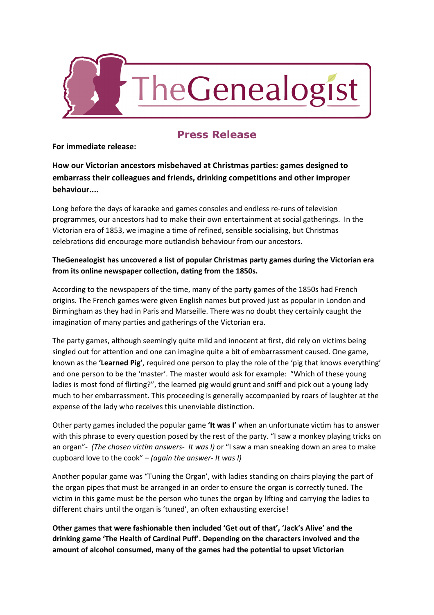

## **Press Release**

## **For immediate release:**

**How our Victorian ancestors misbehaved at Christmas parties: games designed to embarrass their colleagues and friends, drinking competitions and other improper behaviour....**

Long before the days of karaoke and games consoles and endless re-runs of television programmes, our ancestors had to make their own entertainment at social gatherings. In the Victorian era of 1853, we imagine a time of refined, sensible socialising, but Christmas celebrations did encourage more outlandish behaviour from our ancestors.

## **TheGenealogist has uncovered a list of popular Christmas party games during the Victorian era from its online newspaper collection, dating from the 1850s.**

According to the newspapers of the time, many of the party games of the 1850s had French origins. The French games were given English names but proved just as popular in London and Birmingham as they had in Paris and Marseille. There was no doubt they certainly caught the imagination of many parties and gatherings of the Victorian era.

The party games, although seemingly quite mild and innocent at first, did rely on victims being singled out for attention and one can imagine quite a bit of embarrassment caused. One game, known as the **'Learned Pig'**, required one person to play the role of the 'pig that knows everything' and one person to be the 'master'. The master would ask for example: "Which of these young ladies is most fond of flirting?", the learned pig would grunt and sniff and pick out a young lady much to her embarrassment. This proceeding is generally accompanied by roars of laughter at the expense of the lady who receives this unenviable distinction.

Other party games included the popular game **'It was I'**when an unfortunate victim has to answer with this phrase to every question posed by the rest of the party. "I saw a monkey playing tricks on an organ" *(The chosen victim answers It was I)* or "I saw a man sneaking down an area to make cupboard love to the cook" – *(again the answer It was I)*

Another popular game was "Tuning the Organ', with ladies standing on chairs playing the part of the organ pipes that must be arranged in an order to ensure the organ is correctly tuned. The victim in this game must be the person who tunes the organ by lifting and carrying the ladies to different chairs until the organ is 'tuned', an often exhausting exercise!

**Other games that were fashionable then included 'Get out of that', 'Jack's Alive' and the drinking game 'The Health of Cardinal Puff'. Depending on the characters involved and the amount of alcohol consumed, many of the games had the potential to upset Victorian**